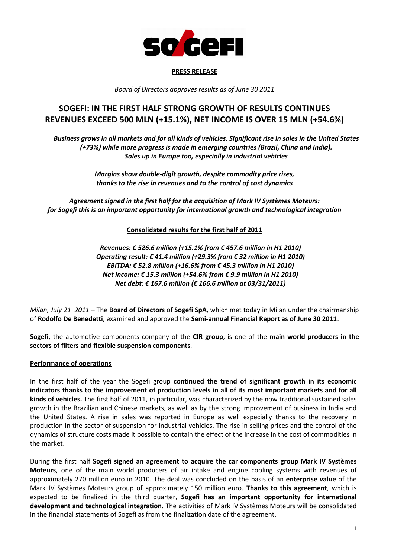

#### PRESS RELEASE

Board of Directors approves results as of June 30 2011

# SOGEFI: IN THE FIRST HALF STRONG GROWTH OF RESULTS CONTINUES REVENUES EXCEED 500 MLN (+15.1%), NET INCOME IS OVER 15 MLN (+54.6%)

Business grows in all markets and for all kinds of vehicles. Significant rise in sales in the United States (+73%) while more progress is made in emerging countries (Brazil, China and India). Sales up in Europe too, especially in industrial vehicles

> Margins show double-digit growth, despite commodity price rises, thanks to the rise in revenues and to the control of cost dynamics

Agreement signed in the first half for the acquisition of Mark IV Systèmes Moteurs: for Sogefi this is an important opportunity for international growth and technological integration

Consolidated results for the first half of 2011

Revenues: € 526.6 million (+15.1% from € 457.6 million in H1 2010) Operating result: € 41.4 million (+29.3% from  $€$  32 million in H1 2010) EBITDA: € 52.8 million (+16.6% from € 45.3 million in H1 2010) Net income: € 15.3 million (+54.6% from  $€$  9.9 million in H1 2010) Net debt: € 167.6 million (€ 166.6 million at 03/31/2011)

Milan, July 21 2011 – The Board of Directors of Sogefi SpA, which met today in Milan under the chairmanship of Rodolfo De Benedetti, examined and approved the Semi-annual Financial Report as of June 30 2011.

Sogefi, the automotive components company of the CIR group, is one of the main world producers in the sectors of filters and flexible suspension components.

## Performance of operations

In the first half of the year the Sogefi group continued the trend of significant growth in its economic indicators thanks to the improvement of production levels in all of its most important markets and for all kinds of vehicles. The first half of 2011, in particular, was characterized by the now traditional sustained sales growth in the Brazilian and Chinese markets, as well as by the strong improvement of business in India and the United States. A rise in sales was reported in Europe as well especially thanks to the recovery in production in the sector of suspension for industrial vehicles. The rise in selling prices and the control of the dynamics of structure costs made it possible to contain the effect of the increase in the cost of commodities in the market.

During the first half Sogefi signed an agreement to acquire the car components group Mark IV Systèmes Moteurs, one of the main world producers of air intake and engine cooling systems with revenues of approximately 270 million euro in 2010. The deal was concluded on the basis of an enterprise value of the Mark IV Systèmes Moteurs group of approximately 150 million euro. Thanks to this agreement, which is expected to be finalized in the third quarter, Sogefi has an important opportunity for international development and technological integration. The activities of Mark IV Systèmes Moteurs will be consolidated in the financial statements of Sogefi as from the finalization date of the agreement.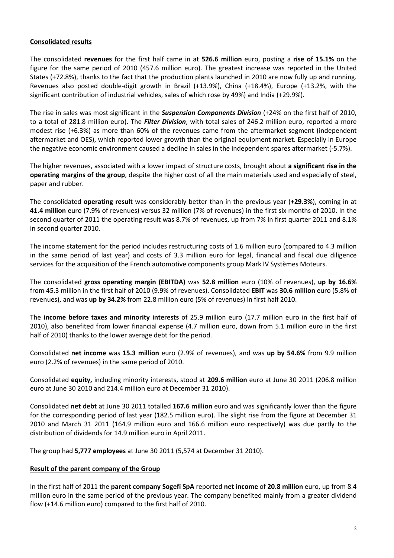### Consolidated results

The consolidated revenues for the first half came in at 526.6 million euro, posting a rise of 15.1% on the figure for the same period of 2010 (457.6 million euro). The greatest increase was reported in the United States (+72.8%), thanks to the fact that the production plants launched in 2010 are now fully up and running. Revenues also posted double-digit growth in Brazil (+13.9%), China (+18.4%), Europe (+13.2%, with the significant contribution of industrial vehicles, sales of which rose by 49%) and India (+29.9%).

The rise in sales was most significant in the **Suspension Components Division** (+24% on the first half of 2010, to a total of 281.8 million euro). The *Filter Division*, with total sales of 246.2 million euro, reported a more modest rise (+6.3%) as more than 60% of the revenues came from the aftermarket segment (independent aftermarket and OES), which reported lower growth than the original equipment market. Especially in Europe the negative economic environment caused a decline in sales in the independent spares aftermarket (-5.7%).

The higher revenues, associated with a lower impact of structure costs, brought about a significant rise in the operating margins of the group, despite the higher cost of all the main materials used and especially of steel, paper and rubber.

The consolidated operating result was considerably better than in the previous year (+29.3%), coming in at 41.4 million euro (7.9% of revenues) versus 32 million (7% of revenues) in the first six months of 2010. In the second quarter of 2011 the operating result was 8.7% of revenues, up from 7% in first quarter 2011 and 8.1% in second quarter 2010.

The income statement for the period includes restructuring costs of 1.6 million euro (compared to 4.3 million in the same period of last year) and costs of 3.3 million euro for legal, financial and fiscal due diligence services for the acquisition of the French automotive components group Mark IV Systèmes Moteurs.

The consolidated gross operating margin (EBITDA) was 52.8 million euro (10% of revenues), up by 16.6% from 45.3 million in the first half of 2010 (9.9% of revenues). Consolidated EBIT was 30.6 million euro (5.8% of revenues), and was up by 34.2% from 22.8 million euro (5% of revenues) in first half 2010.

The income before taxes and minority interests of 25.9 million euro (17.7 million euro in the first half of 2010), also benefited from lower financial expense (4.7 million euro, down from 5.1 million euro in the first half of 2010) thanks to the lower average debt for the period.

Consolidated net income was 15.3 million euro (2.9% of revenues), and was up by 54.6% from 9.9 million euro (2.2% of revenues) in the same period of 2010.

Consolidated equity, including minority interests, stood at 209.6 million euro at June 30 2011 (206.8 million euro at June 30 2010 and 214.4 million euro at December 31 2010).

Consolidated net debt at June 30 2011 totalled 167.6 million euro and was significantly lower than the figure for the corresponding period of last year (182.5 million euro). The slight rise from the figure at December 31 2010 and March 31 2011 (164.9 million euro and 166.6 million euro respectively) was due partly to the distribution of dividends for 14.9 million euro in April 2011.

The group had 5,777 employees at June 30 2011 (5,574 at December 31 2010).

#### Result of the parent company of the Group

In the first half of 2011 the parent company Sogefi SpA reported net income of 20.8 million euro, up from 8.4 million euro in the same period of the previous year. The company benefited mainly from a greater dividend flow (+14.6 million euro) compared to the first half of 2010.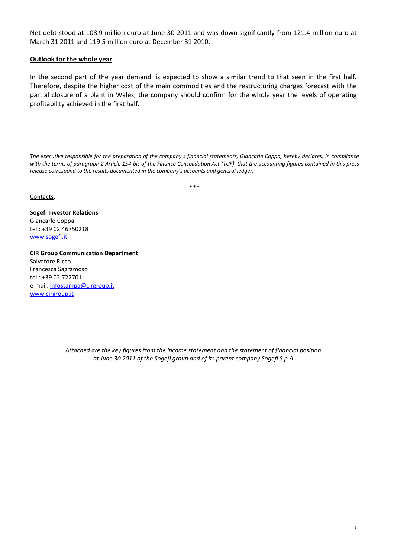Net debt stood at 108.9 million euro at June 30 2011 and was down significantly from 121.4 million euro at March 31 2011 and 119.5 million euro at December 31 2010.

#### Outlook for the whole year

In the second part of the year demand is expected to show a similar trend to that seen in the first half. Therefore, despite the higher cost of the main commodities and the restructuring charges forecast with the partial closure of a plant in Wales, the company should confirm for the whole year the levels of operating profitability achieved in the first half.

The executive responsible for the preparation of the company's financial statements, Giancarlo Coppa, hereby declares, in compliance with the terms of paragraph 2 Article 154-bis of the Finance Consolidation Act (TUF), that the accounting figures contained in this press release correspond to the results documented in the company's accounts and general ledger.

\*\*\*

Contacts:

Sogefi Investor Relations Giancarlo Coppa tel.: +39 02 46750218 www.sogefi.it

CIR Group Communication Department Salvatore Ricco Francesca Sagramoso tel.: +39 02 722701 e-mail: infostampa@cirgroup.it www.cirgroup.it

> Attached are the key figures from the income statement and the statement of financial position at June 30 2011 of the Sogefi group and of its parent company Sogefi S.p.A.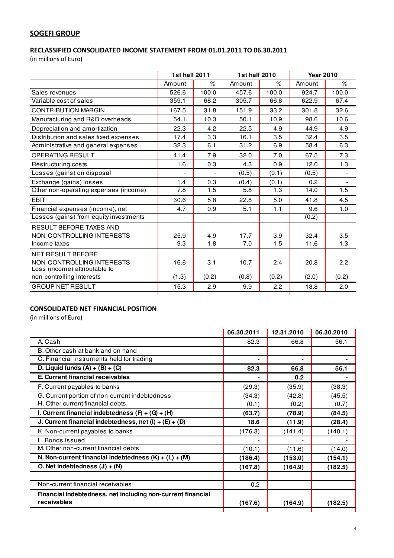# **SOGEFI GROUP**

# RECLASSIFIED CONSOLIDATED INCOME STATEMENT FROM 01.01.2011 TO 06.30.2011

(in millions of Euro)

|                                        | 1st half 2011 |                | 1st half 2010  |       | <b>Year 2010</b> |                          |
|----------------------------------------|---------------|----------------|----------------|-------|------------------|--------------------------|
|                                        | Amount        | %              | Amount         | $\%$  | Amount           | $\%$                     |
| Sales revenues                         | 526.6         | 100.0          | 457.6          | 100.0 | 924.7            | 100.0                    |
| Variable cost of sales                 | 359.1         | 68.2           | 305.7          | 66.8  | 622.9            | 67.4                     |
| <b>CONTRIBUTION MARGIN</b>             | 167.5         | 31.8           | 151.9          | 33.2  | 301.8            | 32.6                     |
| Manufacturing and R&D overheads        | 54.1          | 10.3           | 50.1           | 10.9  | 98.6             | 10.6                     |
| Depreciation and amortization          | 22.3          | 4.2            | 22.5           | 4.9   | 44.9             | 4.9                      |
| Distribution and sales fixed expenses  | 17.4          | 3.3            | 16.1           | 3.5   | 32.4             | 3.5                      |
| Administrative and general expenses    | 32.3          | 6.1            | 31.2           | 6.9   | 58.4             | 6.3                      |
| <b>OPERATING RESULT</b>                | 41.4          | 7.9            | 32.0           | 7.0   | 67.5             | 7.3                      |
| Restructuring costs                    | 1.6           | 0.3            | 4.3            | 0.9   | 12.0             | 1.3                      |
| Losses (gains) on disposal             |               |                | (0.5)          | (0.1) | (0.5)            | $\overline{\phantom{a}}$ |
| Exchange (gains) losses                | 1.4           | 0.3            | (0.4)          | (0.1) | 0.2              |                          |
| Other non-operating expenses (income)  | 7.8           | 1.5            | 5.8            | 1.3   | 14.0             | 1.5                      |
| <b>EBIT</b>                            | 30.6          | 5.8            | 22.8           | 5.0   | 41.8             | 4.5                      |
| Financial expenses (income), net       | 4.7           | 0.9            | 5.1            | 1.1   | 9.6              | 1.0                      |
| Losses (gains) from equity investments |               | $\blacksquare$ | $\overline{a}$ |       | (0.2)            | $\overline{\phantom{a}}$ |
| RESULT BEFORE TAXES AND                |               |                |                |       |                  |                          |
| NON-CONTROLLING INTERESTS              | 25.9          | 4.9            | 17.7           | 3.9   | 32.4             | 3.5                      |
| Income taxes                           | 9.3           | 1.8            | 7.0            | 1.5   | 11.6             | 1.3                      |
| <b>NET RESULT BEFORE</b>               |               |                |                |       |                  |                          |
| NON-CONTROLLING INTERESTS              | 16.6          | 3.1            | 10.7           | 2.4   | 20.8             | 2.2                      |
| Loss (income) attributable to          |               |                |                |       |                  |                          |
| non-controlling interests              | (1.3)         | (0.2)          | (0.8)          | (0.2) | (2.0)            | (0.2)                    |
| <b>GROUP NET RESULT</b>                | 15.3          | 2.9            | 9.9            | 2.2   | 18.8             | 2.0                      |
|                                        |               |                |                |       |                  |                          |

# CONSOLIDATED NET FINANCIAL POSITION

|                                                             | 06.30.2011 | 12.31.2010 | 06.30.2010 |
|-------------------------------------------------------------|------------|------------|------------|
| A. Cash                                                     | 82.3       | 66.8       | 56.1       |
| B. Other cash at bank and on hand                           |            |            |            |
| C. Financial instruments held for trading                   |            |            |            |
| D. Liquid funds $(A) + (B) + (C)$                           | 82.3       | 66.8       | 56.1       |
| E. Current financial receivables                            |            | 0.2        |            |
| F. Current payables to banks                                | (29.3)     | (35.9)     | (38.3)     |
| G. Current portion of non-current indebtedness              | (34.3)     | (42.8)     | (45.5)     |
| H. Other current financial debts                            | (0.1)      | (0.2)      | (0.7)      |
| I. Current financial indebtedness $(F) + (G) + (H)$         | (63.7)     | (78.9)     | (84.5)     |
| J. Current financial indebtedness, net $(I) + (E) + (D)$    | 18.6       | (11.9)     | (28.4)     |
| K. Non-current payables to banks                            | (176.3)    | (141.4)    | (140.1)    |
| L. Bonds issued                                             |            |            |            |
| M. Other non-current financial debts                        | (10.1)     | (11.6)     | (14.0)     |
| N. Non-current financial indebtedness $(K) + (L) + (M)$     | (186.4)    | (153.0)    | (154.1)    |
| O. Net indebtedness $(J) + (N)$                             | (167.8)    | (164.9)    | (182.5)    |
|                                                             |            |            |            |
| Non-current financial receivables                           | 0.2        |            |            |
| Financial indebtedness, net including non-current financial |            |            |            |
| receivables                                                 | (167.6)    | (164.9)    | (182.5)    |
|                                                             |            |            |            |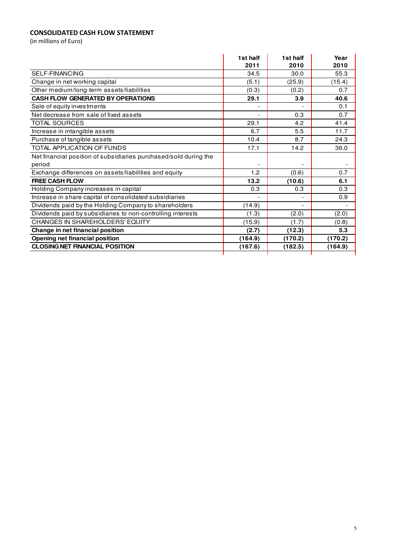# CONSOLIDATED CASH FLOW STATEMENT

|                                                                  | 1st half                     | 1st half | Year    |
|------------------------------------------------------------------|------------------------------|----------|---------|
|                                                                  | 2011                         | 2010     | 2010    |
| SELF-FINANCING                                                   | 34.5                         | 30.0     | 55.3    |
| Change in net working capital                                    | (5.1)                        | (25.9)   | (15.4)  |
| Other medium/long-term assets/liabilities                        | (0.3)                        | (0.2)    | 0.7     |
| <b>CASH FLOW GENERATED BY OPERATIONS</b>                         | 29.1                         | 3.9      | 40.6    |
| Sale of equity investments                                       |                              |          | 0.1     |
| Net decrease from sale of fixed assets                           | $\qquad \qquad \blacksquare$ | 0.3      | 0.7     |
| <b>TOTAL SOURCES</b>                                             | 29.1                         | 4.2      | 41.4    |
| Increase in intangible assets                                    | 6.7                          | 5.5      | 11.7    |
| Purchase of tangible assets                                      | 10.4                         | 8.7      | 24.3    |
| TOTAL APPLICATION OF FUNDS                                       | 17.1                         | 14.2     | 36.0    |
| Net financial position of subsidiaries purchased/sold during the |                              |          |         |
| period                                                           |                              |          |         |
| Exchange differences on assets/liabilities and equity            | 1.2                          | (0.6)    | 0.7     |
| <b>FREE CASH FLOW</b>                                            | 13.2                         | (10.6)   | 6.1     |
| Holding Company increases in capital                             | 0.3                          | 0.3      | 0.3     |
| Increase in share capital of consolidated subsidiaries           |                              |          | 0.9     |
| Dividends paid by the Holding Company to shareholders            | (14.9)                       |          |         |
| Dividends paid by subsidiaries to non-controlling interests      | (1.3)                        | (2.0)    | (2.0)   |
| CHANGES IN SHAREHOLDERS' EQUITY                                  | (15.9)                       | (1.7)    | (0.8)   |
| Change in net financial position                                 | (2.7)                        | (12.3)   | 5.3     |
| <b>Opening net financial position</b>                            | (164.9)                      | (170.2)  | (170.2) |
| <b>CLOSING NET FINANCIAL POSITION</b>                            | (167.6)                      | (182.5)  | (164.9) |
|                                                                  |                              |          |         |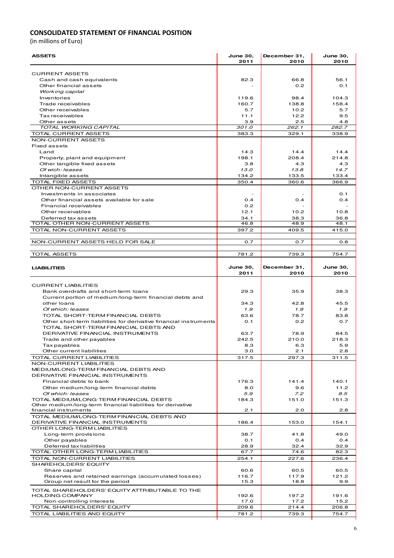### CONSOLIDATED STATEMENT OF FINANCIAL POSITION

| <b>ASSETS</b>                                                                                         | <b>June 30,</b><br>2011 | December 31,<br>2010 | <b>June 30,</b><br>2010 |
|-------------------------------------------------------------------------------------------------------|-------------------------|----------------------|-------------------------|
|                                                                                                       |                         |                      |                         |
| <b>CURRENT ASSETS</b>                                                                                 |                         |                      |                         |
| Cash and cash equivalents                                                                             | 82.3                    | 66.8                 | 56.1                    |
| Other financial assets                                                                                |                         | 0.2                  | 0.1                     |
| Working capital                                                                                       |                         |                      | 104.3                   |
| Inventories<br>Trade receivables                                                                      | 119.6<br>160.7          | 98.4<br>138.8        | 158.4                   |
| Other receivables                                                                                     | 5.7                     | 10.2                 | 5.7                     |
| Tax receivables                                                                                       | 11.1                    | 12.2                 | 9.5                     |
| Other assets                                                                                          | 3.9                     | 2.5                  | 4.8                     |
| TOTAL WORKING CAPITAL                                                                                 | 301.0                   | 262.1                | 282.7                   |
| <b>TOTAL CURRENT ASSETS</b>                                                                           | 383.3                   | 329.1                | 338.9                   |
| NON-CURRENT ASSETS<br>Fixed assets                                                                    |                         |                      |                         |
| Land                                                                                                  | 14.3                    | 14.4                 | 14.4                    |
| Property, plant and equipment                                                                         | 198.1                   | 208.4                | 214.8                   |
| Other tangible fixed assets                                                                           | 3.8                     | 4.3                  | 4.3                     |
| Of wich: leases                                                                                       | 13.0                    | 13.8                 | 14.7                    |
| Intangible assets                                                                                     | 134.2                   | 133.5                | 133.4                   |
| TOTAL FIXED ASSETS                                                                                    | 350.4                   | 360.6                | 366.9                   |
| OTHER NON-CURRENT ASSETS                                                                              |                         |                      |                         |
| Investments in associates                                                                             |                         |                      | 0.1                     |
| Other financial assets available for sale                                                             | 0.4                     | 0.4                  | 0.4                     |
| Financial receivables<br>Other receivables                                                            | 0.2<br>12.1             | 10.2                 | 10.8                    |
| Deferred tax assets                                                                                   | 34.1                    | 38.3                 | 36.8                    |
| TOTAL OTHER NON-CURRENT ASSETS                                                                        | 46.8                    | 48.9                 | 48.1                    |
| TOTAL NON-CURRENT ASSETS                                                                              | 397.2                   | 409.5                | 415.0                   |
|                                                                                                       |                         |                      |                         |
| NON-CURRENT ASSETS HELD FOR SALE                                                                      | 0.7                     | 0.7                  | 0.8                     |
| <b>TOTAL ASSETS</b>                                                                                   | 781.2                   | 739.3                | 754.7                   |
|                                                                                                       |                         |                      |                         |
| <b>LIABILITIES</b>                                                                                    | <b>June 30,</b>         | December 31,         | <b>June 30,</b>         |
|                                                                                                       | 2011                    | 2010                 | 2010                    |
|                                                                                                       |                         |                      |                         |
| <b>CURRENT LIABILITIES</b>                                                                            |                         |                      |                         |
| Bank overdrafts and short-term loans                                                                  | 29.3                    | 35.9                 | 38.3                    |
| Current portion of medium/long-term financial debts and<br>other loans                                | 34.3                    | 42.8                 | 45.5                    |
| Of which: leases                                                                                      | 1.9                     | 1.9                  | 1.9                     |
| TOTAL SHORT-TERM FINANCIAL DEBTS                                                                      | 63.6                    | 78.7                 | 83.8                    |
| Other short-term liabilities for derivative financial instruments                                     | O.1                     | 0.2                  | 0.7                     |
| TOTAL SHORT-TERM FINANCIAL DEBTS AND                                                                  |                         |                      |                         |
| <b>DERIVATIVE FINANCIAL INSTRUMENTS</b>                                                               | 63.7                    | 78.9                 | 84.5                    |
| Trade and other payables                                                                              | 242.5                   | 210.0                | 218.3                   |
| Tax payables<br>Other current liabilities                                                             | 8.3<br>3.0              | 6.3<br>2.1           | 5.9<br>2.8              |
| TOTAL CURRENT LIABILITIES                                                                             | 317.5                   | 297.3                | 311.5                   |
| NON-CURRENT LIABILITIES                                                                               |                         |                      |                         |
| MEDIUM/LONG-TERM FINANCIAL DEBTS AND                                                                  |                         |                      |                         |
| DERIVATIVE FINANCIAL INSTRUMENTS                                                                      |                         |                      |                         |
| Financial debts to bank                                                                               | 176.3                   | 141.4                | 140.1                   |
| Other medium/long-term financial debts                                                                | 8.0                     | 9.6                  | 11.2                    |
| Of which: leases                                                                                      | 5.9                     | 7.2                  | 8.5                     |
| TOTAL MEDIUM/LONG-TERM FINANCIAL DEBTS<br>Other medium/long-term financial liabilities for derivative | 184.3                   | 151.0                | 151.3                   |
| financial instruments                                                                                 | 2.1                     | 2.0                  | 2.8                     |
| TOTAL MEDIUM/LONG-TERM FINANCIAL DEBTS AND                                                            |                         |                      |                         |
| DERIVATIVE FINANCIAL INSTRUMENTS                                                                      | 186.4                   | 153.0                | 154.1                   |
| OTHER LONG-TERM LIABILITIES                                                                           |                         |                      |                         |
| Long-term provisions                                                                                  | 38.7                    | 41.8                 | 49.0                    |
| Other payables                                                                                        | 0.1                     | 0.4                  | 0.4                     |
| Deferred tax liabilities<br>TOTAL OTHER LONG-TERM LIABILITIES                                         | 28.9<br>67.7            | 32.4<br>74.6         | 32.9<br>82.3            |
| TOTAL NON-CURRENT LIABILITIES                                                                         | 254.1                   | 227.6                | 236.4                   |
| SHAREHOLDERS' EQUITY                                                                                  |                         |                      |                         |
| Share capital                                                                                         | 60.6                    | 60.5                 | 60.5                    |
| Reserves and retained earnings (accumulated losses)                                                   | 116.7                   | 117.9                | 121.2                   |
| Group net result for the period                                                                       | 15.3                    | 18.8                 | 9.9                     |
| TOTAL SHAREHOLDERS' EQUITY ATTRIBUTABLE TO THE                                                        |                         |                      |                         |
| <b>HOLDING COMPANY</b>                                                                                | 192.6                   | 197.2                | 191.6                   |
| Non-controlling interests                                                                             | 17.0                    | 17.2                 | 15.2                    |
| TOTAL SHAREHOLDERS' EQUITY                                                                            | 209.6                   | 214.4                | 206.8                   |
| TOTAL LIABILITIES AND EQUITY                                                                          | 781.2                   | 739.3                | 754.7                   |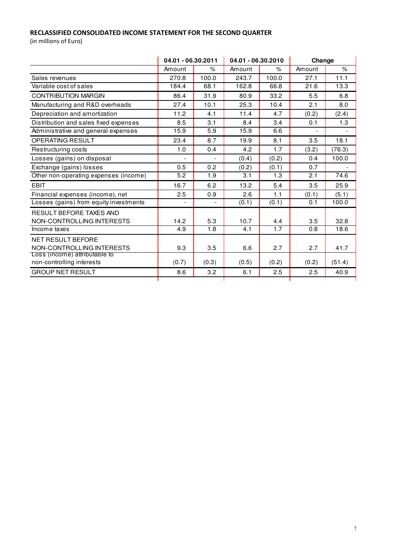# RECLASSIFIED CONSOLIDATED INCOME STATEMENT FOR THE SECOND QUARTER

|                                                            | 04.01 - 06.30.2011 |       | 04.01 - 06.30.2010 |                    | Change                   |        |
|------------------------------------------------------------|--------------------|-------|--------------------|--------------------|--------------------------|--------|
|                                                            | Amount             | %     | Amount             | %                  | Amount                   | $\%$   |
| Sales revenues                                             | 270.8              | 100.0 | 243.7              | 100.0              | 27.1                     | 11.1   |
| Variable cost of sales                                     | 184.4              | 68.1  | 162.8              | 66.8               | 21.6                     | 13.3   |
| <b>CONTRIBUTION MARGIN</b>                                 | 86.4               | 31.9  | 80.9               | 33.2               | 5.5                      | 6.8    |
| Manufacturing and R&D overheads                            | 27.4               | 10.1  | 25.3               | 10.4               | 2.1                      | 8.0    |
| Depreciation and amortization                              | 11.2               | 4.1   | 11.4               | 4.7                | (0.2)                    | (2.4)  |
| Distribution and sales fixed expenses                      | 8.5                | 3.1   | 8.4                | 3.4                | 0.1                      | 1.3    |
| Administrative and general expenses                        | 15.9               | 5.9   | 15.9               | 6.6                | $\overline{\phantom{0}}$ |        |
| <b>OPERATING RESULT</b>                                    | 23.4               | 8.7   | 19.9               | 8.1                | 3.5                      | 18.1   |
| Restructuring costs                                        | 1.0                | 0.4   | 4.2                | 1.7                | (3.2)                    | (76.3) |
| Losses (gains) on disposal                                 |                    |       | (0.4)              | (0.2)              | 0.4                      | 100.0  |
| Exchange (gains) losses                                    | 0.5                | 0.2   | (0.2)              | (0.1)              | 0.7                      |        |
| Other non-operating expenses (income)                      | 5.2                | 1.9   | 3.1                | 1.3                | 2.1                      | 74.6   |
| <b>EBIT</b>                                                | 16.7               | 6.2   | 13.2               | 5.4                | 3.5                      | 25.9   |
| Financial expenses (income), net                           | 2.5                | 0.9   | 2.6                | 1.1                | (0.1)                    | (5.1)  |
| Losses (gains) from equity investments                     |                    |       | (0.1)              | $\overline{(0.1)}$ | 0.1                      | 100.0  |
| RESULT BEFORE TAXES AND                                    |                    |       |                    |                    |                          |        |
| NON-CONTROLLING INTERESTS                                  | 14.2               | 5.3   | 10.7               | 4.4                | 3.5                      | 32.8   |
| Income taxes                                               | 4.9                | 1.8   | 4.1                | 1.7                | 0.8                      | 18.6   |
| <b>NET RESULT BEFORE</b><br>NON-CONTROLLING INTERESTS      | 9.3                | 3.5   | 6.6                | 2.7                | 2.7                      | 41.7   |
| Loss (income) attributable to<br>non-controlling interests | (0.7)              | (0.3) | (0.5)              | (0.2)              | (0.2)                    | (51.4) |
| <b>GROUP NET RESULT</b>                                    | 8.6                | 3.2   | 6.1                | 2.5                | 2.5                      | 40.9   |